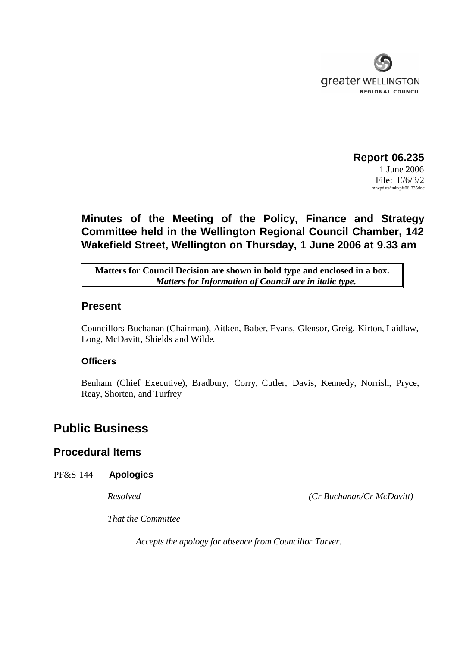

### **Report 06.235** 1 June 2006 File: E/6/3/2  $m:$ wpdata $\min\{pfs06.235doc\}$

# **Minutes of the Meeting of the Policy, Finance and Strategy Committee held in the Wellington Regional Council Chamber, 142 Wakefield Street, Wellington on Thursday, 1 June 2006 at 9.33 am**

**Matters for Council Decision are shown in bold type and enclosed in a box.** *Matters for Information of Council are in italic type.*

### **Present**

Councillors Buchanan (Chairman), Aitken, Baber, Evans, Glensor, Greig, Kirton, Laidlaw, Long, McDavitt, Shields and Wilde.

### **Officers**

Benham (Chief Executive), Bradbury, Corry, Cutler, Davis, Kennedy, Norrish, Pryce, Reay, Shorten, and Turfrey

# **Public Business**

## **Procedural Items**

### PF&S 144 **Apologies**

*Resolved (Cr Buchanan/Cr McDavitt)*

*That the Committee*

*Accepts the apology for absence from Councillor Turver.*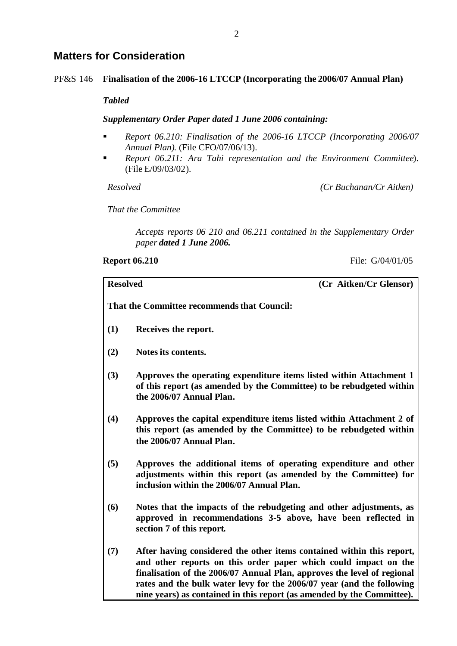## **Matters for Consideration**

### PF&S 146 **Finalisation of the 2006-16 LTCCP (Incorporating the 2006/07 Annual Plan)**

### *Tabled*

### *Supplementary Order Paper dated 1 June 2006 containing:*

- *Report 06.210: Finalisation of the 2006-16 LTCCP (Incorporating 2006/07 Annual Plan).* (File CFO/07/06/13).
- *Report 06.211: Ara Tahi representation and the Environment Committee*). (File E/09/03/02).

*Resolved (Cr Buchanan/Cr Aitken)*

*That the Committee*

*Accepts reports 06 210 and 06.211 contained in the Supplementary Order paper dated 1 June 2006.*

**Report 06.210** File: G/04/01/05

| <b>Resolved</b>                             | (Cr Aitken/Cr Glensor)                                                                                                                                                                                                                                                                                                                                                 |  |  |  |
|---------------------------------------------|------------------------------------------------------------------------------------------------------------------------------------------------------------------------------------------------------------------------------------------------------------------------------------------------------------------------------------------------------------------------|--|--|--|
| That the Committee recommends that Council: |                                                                                                                                                                                                                                                                                                                                                                        |  |  |  |
| (1)                                         | Receives the report.                                                                                                                                                                                                                                                                                                                                                   |  |  |  |
| (2)                                         | Notes its contents.                                                                                                                                                                                                                                                                                                                                                    |  |  |  |
| (3)                                         | Approves the operating expenditure items listed within Attachment 1<br>of this report (as amended by the Committee) to be rebudgeted within<br>the 2006/07 Annual Plan.                                                                                                                                                                                                |  |  |  |
| (4)                                         | Approves the capital expenditure items listed within Attachment 2 of<br>this report (as amended by the Committee) to be rebudgeted within<br>the 2006/07 Annual Plan.                                                                                                                                                                                                  |  |  |  |
| (5)                                         | Approves the additional items of operating expenditure and other<br>adjustments within this report (as amended by the Committee) for<br>inclusion within the 2006/07 Annual Plan.                                                                                                                                                                                      |  |  |  |
| (6)                                         | Notes that the impacts of the rebudgeting and other adjustments, as<br>approved in recommendations 3-5 above, have been reflected in<br>section 7 of this report.                                                                                                                                                                                                      |  |  |  |
| (7)                                         | After having considered the other items contained within this report,<br>and other reports on this order paper which could impact on the<br>finalisation of the 2006/07 Annual Plan, approves the level of regional<br>rates and the bulk water levy for the 2006/07 year (and the following<br>nine years) as contained in this report (as amended by the Committee). |  |  |  |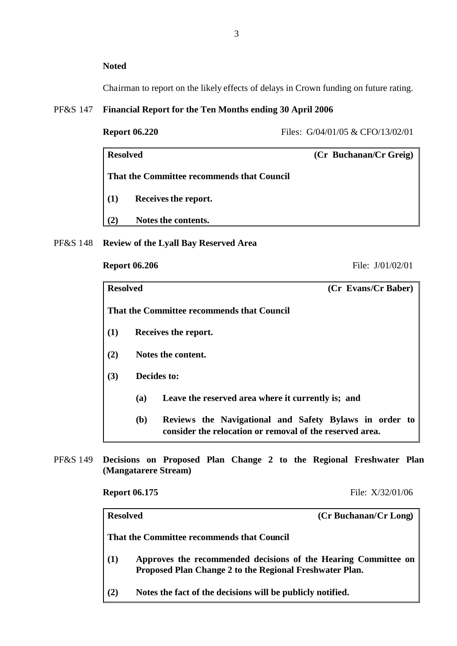### **Noted**

Chairman to report on the likely effects of delays in Crown funding on future rating.

### PF&S 147 **Financial Report for the Ten Months ending 30 April 2006**

### **Report 06.220** Files: G/04/01/05 & CFO/13/02/01

| <b>Resolved</b>                            | (Cr Buchanan/Cr Greig) |  |  |
|--------------------------------------------|------------------------|--|--|
| That the Committee recommends that Council |                        |  |  |
| Receives the report.<br>(1)                |                        |  |  |
| Notes the contents.<br>(2)                 |                        |  |  |

PF&S 148 **Review of the Lyall Bay Reserved Area**

**Report 06.206** File: J/01/02/01

| <b>Resolved</b> |                    | (Cr Evans/Cr Baber)                                                                                                |  |
|-----------------|--------------------|--------------------------------------------------------------------------------------------------------------------|--|
|                 |                    | That the Committee recommends that Council                                                                         |  |
| (1)             |                    | Receives the report.                                                                                               |  |
| (2)             | Notes the content. |                                                                                                                    |  |
| (3)             | Decides to:        |                                                                                                                    |  |
|                 | (a)                | Leave the reserved area where it currently is; and                                                                 |  |
|                 | <b>(b)</b>         | Reviews the Navigational and Safety Bylaws in order to<br>consider the relocation or removal of the reserved area. |  |

PF&S 149 **Decisions on Proposed Plan Change 2 to the Regional Freshwater Plan (Mangatarere Stream)**

**Report 06.175** File: X/32/01/06

| <b>Resolved</b> | (Cr Buchanan/Cr Long)                                                                                                     |
|-----------------|---------------------------------------------------------------------------------------------------------------------------|
|                 | That the Committee recommends that Council                                                                                |
| (1)             | Approves the recommended decisions of the Hearing Committee on<br>Proposed Plan Change 2 to the Regional Freshwater Plan. |
| (2)             | Notes the fact of the decisions will be publicly notified.                                                                |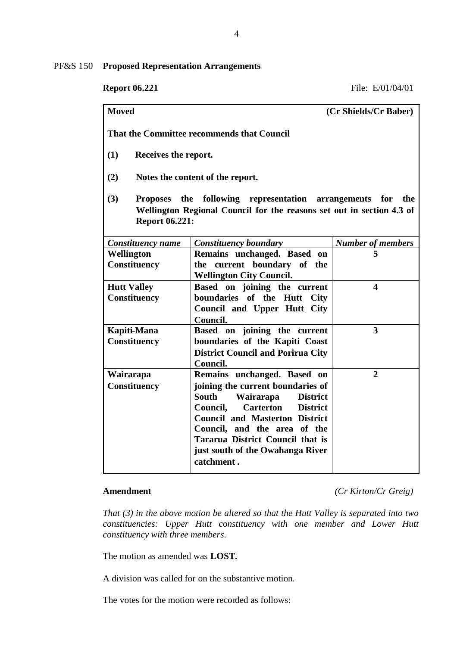PF&S 150 **Proposed Representation Arrangements**

| <b>Moved</b>                                                                                                                                                                           | (Cr Shields/Cr Baber)                                                                                                                                                                                                                                                                                                                     |                          |  |  |  |  |  |
|----------------------------------------------------------------------------------------------------------------------------------------------------------------------------------------|-------------------------------------------------------------------------------------------------------------------------------------------------------------------------------------------------------------------------------------------------------------------------------------------------------------------------------------------|--------------------------|--|--|--|--|--|
| That the Committee recommends that Council                                                                                                                                             |                                                                                                                                                                                                                                                                                                                                           |                          |  |  |  |  |  |
| (1)<br>Receives the report.                                                                                                                                                            |                                                                                                                                                                                                                                                                                                                                           |                          |  |  |  |  |  |
| (2)<br>Notes the content of the report.                                                                                                                                                |                                                                                                                                                                                                                                                                                                                                           |                          |  |  |  |  |  |
| (3)<br>the<br>following representation arrangements<br><b>Proposes</b><br>for<br>the<br>Wellington Regional Council for the reasons set out in section 4.3 of<br><b>Report 06.221:</b> |                                                                                                                                                                                                                                                                                                                                           |                          |  |  |  |  |  |
| Constituency name                                                                                                                                                                      | <b>Constituency boundary</b>                                                                                                                                                                                                                                                                                                              | <b>Number of members</b> |  |  |  |  |  |
| Wellington                                                                                                                                                                             | Remains unchanged. Based on                                                                                                                                                                                                                                                                                                               | 5                        |  |  |  |  |  |
| Constituency                                                                                                                                                                           | the current boundary of the<br><b>Wellington City Council.</b>                                                                                                                                                                                                                                                                            |                          |  |  |  |  |  |
| <b>Hutt Valley</b><br><b>Constituency</b>                                                                                                                                              | Based on joining the current<br>boundaries of the Hutt City<br>Council and Upper Hutt City<br>Council.                                                                                                                                                                                                                                    | 4                        |  |  |  |  |  |
| Kapiti-Mana<br><b>Constituency</b>                                                                                                                                                     | Based on joining the current<br>boundaries of the Kapiti Coast<br><b>District Council and Porirua City</b><br>Council.                                                                                                                                                                                                                    | $\overline{\mathbf{3}}$  |  |  |  |  |  |
| Wairarapa<br><b>Constituency</b>                                                                                                                                                       | Remains unchanged. Based on<br>joining the current boundaries of<br><b>South</b><br>Wairarapa<br><b>District</b><br>Council,<br><b>Carterton</b><br><b>District</b><br><b>Council and Masterton District</b><br>Council, and the area of the<br><b>Tararua District Council that is</b><br>just south of the Owahanga River<br>catchment. | $\overline{2}$           |  |  |  |  |  |

**Amendment** *(Cr Kirton/Cr Greig)*

*That (3) in the above motion be altered so that the Hutt Valley is separated into two constituencies: Upper Hutt constituency with one member and Lower Hutt constituency with three members.*

The motion as amended was **LOST.**

A division was called for on the substantive motion.

The votes for the motion were recorded as follows: